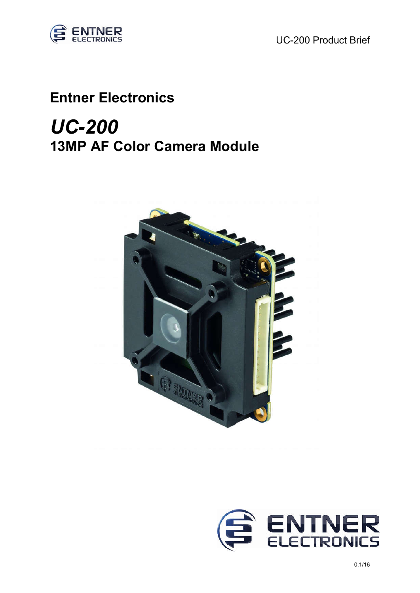

## Entner Electronics

## *UC-200* 13MP AF Color Camera Module



֦